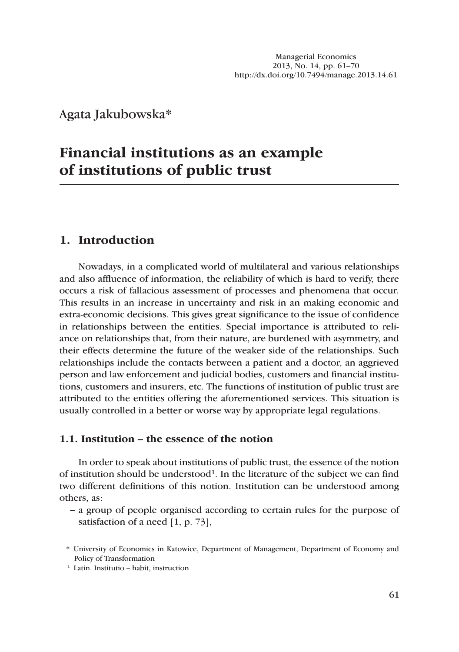Agata Jakubowska\* <sup>1</sup>

# **Financial institutions as an example of institutions of public trust**

## **1. Introduction**

Nowadays, in a complicated world of multilateral and various relationships and also affluence of information, the reliability of which is hard to verify, there occurs a risk of fallacious assessment of processes and phenomena that occur. This results in an increase in uncertainty and risk in an making economic and extra-economic decisions. This gives great significance to the issue of confidence in relationships between the entities. Special importance is attributed to reliance on relationships that, from their nature, are burdened with asymmetry, and their effects determine the future of the weaker side of the relationships. Such relationships include the contacts between a patient and a doctor, an aggrieved person and law enforcement and judicial bodies, customers and financial institutions, customers and insurers, etc. The functions of institution of public trust are attributed to the entities offering the aforementioned services. This situation is usually controlled in a better or worse way by appropriate legal regulations.

### **1.1. Institution – the essence of the notion**

In order to speak about institutions of public trust, the essence of the notion of institution should be understood<sup>1</sup>. In the literature of the subject we can find two different definitions of this notion. Institution can be understood among others, as:

ȭ a group of people organised according to certain rules for the purpose of satisfaction of a need [1, p. 73],

<sup>\*</sup> University of Economics in Katowice, Department of Management, Department of Economy and Policy of Transformation

<sup>1</sup> Latin. Institutio – habit, instruction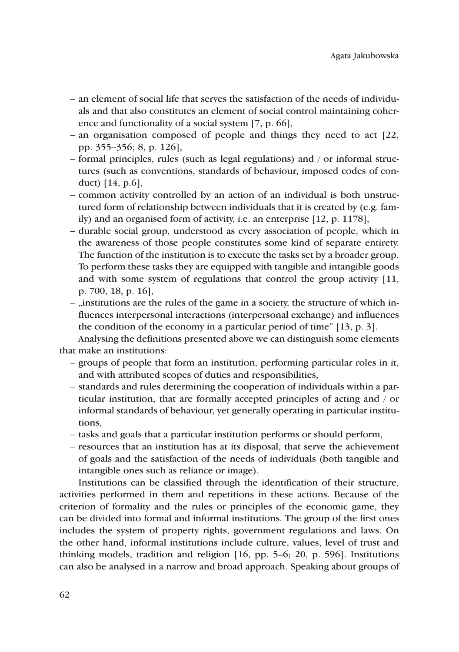- ȭ an element of social life that serves the satisfaction of the needs of individuals and that also constitutes an element of social control maintaining coherence and functionality of a social system [7, p. 66],
- an organisation composed of people and things they need to act [22, pp. 355–356; 8, p. 126],
- formal principles, rules (such as legal regulations) and / or informal structures (such as conventions, standards of behaviour, imposed codes of conduct) [14, p.6],
- ȭ common activity controlled by an action of an individual is both unstructured form of relationship between individuals that it is created by (e.g. family) and an organised form of activity, i.e. an enterprise [12, p. 1178],
- ȭ durable social group, understood as every association of people, which in the awareness of those people constitutes some kind of separate entirety. The function of the institution is to execute the tasks set by a broader group. To perform these tasks they are equipped with tangible and intangible goods and with some system of regulations that control the group activity [11, p. 700, 18, p. 16],
- "institutions are the rules of the game in a society, the structure of which influences interpersonal interactions (interpersonal exchange) and influences the condition of the economy in a particular period of time" [13, p. 3].

Analysing the definitions presented above we can distinguish some elements that make an institutions:

- ȭ groups of people that form an institution, performing particular roles in it, and with attributed scopes of duties and responsibilities,
- standards and rules determining the cooperation of individuals within a particular institution, that are formally accepted principles of acting and / or informal standards of behaviour, yet generally operating in particular institutions,
- ȭ tasks and goals that a particular institution performs or should perform,
- ȭ resources that an institution has at its disposal, that serve the achievement of goals and the satisfaction of the needs of individuals (both tangible and intangible ones such as reliance or image).

Institutions can be classified through the identification of their structure, activities performed in them and repetitions in these actions. Because of the criterion of formality and the rules or principles of the economic game, they can be divided into formal and informal institutions. The group of the first ones includes the system of property rights, government regulations and laws. On the other hand, informal institutions include culture, values, level of trust and thinking models, tradition and religion [16, pp. 5–6; 20, p. 596]. Institutions can also be analysed in a narrow and broad approach. Speaking about groups of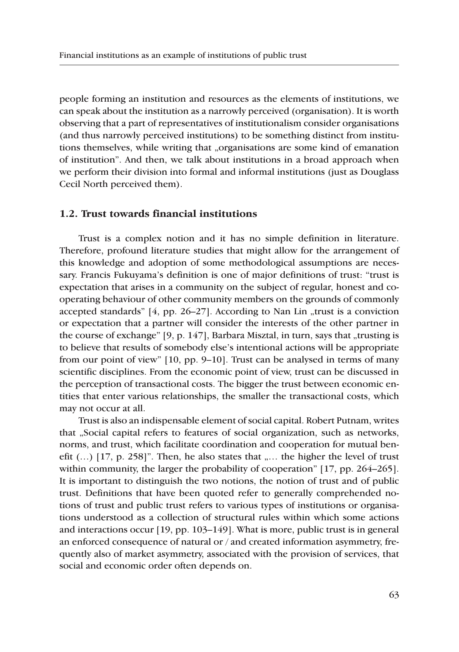people forming an institution and resources as the elements of institutions, we can speak about the institution as a narrowly perceived (organisation). It is worth observing that a part of representatives of institutionalism consider organisations (and thus narrowly perceived institutions) to be something distinct from institutions themselves, while writing that "organisations are some kind of emanation of institution". And then, we talk about institutions in a broad approach when we perform their division into formal and informal institutions (just as Douglass Cecil North perceived them).

#### **1.2. Trust towards financial institutions**

Trust is a complex notion and it has no simple definition in literature. Therefore, profound literature studies that might allow for the arrangement of this knowledge and adoption of some methodological assumptions are necessary. Francis Fukuyama's definition is one of major definitions of trust: "trust is expectation that arises in a community on the subject of regular, honest and cooperating behaviour of other community members on the grounds of commonly accepted standards"  $[4, pp. 26-27]$ . According to Nan Lin "trust is a conviction or expectation that a partner will consider the interests of the other partner in the course of exchange"  $[9, p. 147]$ , Barbara Misztal, in turn, says that "trusting is to believe that results of somebody else's intentional actions will be appropriate from our point of view" [10, pp. 9–10]. Trust can be analysed in terms of many scientific disciplines. From the economic point of view, trust can be discussed in the perception of transactional costs. The bigger the trust between economic entities that enter various relationships, the smaller the transactional costs, which may not occur at all.

Trust is also an indispensable element of social capital. Robert Putnam, writes that "Social capital refers to features of social organization, such as networks, norms, and trust, which facilitate coordination and cooperation for mutual benefit  $(...)$  [17, p. 258]". Then, he also states that  $,...$  the higher the level of trust within community, the larger the probability of cooperation" [17, pp. 264–265]. It is important to distinguish the two notions, the notion of trust and of public trust. Definitions that have been quoted refer to generally comprehended notions of trust and public trust refers to various types of institutions or organisations understood as a collection of structural rules within which some actions and interactions occur [19, pp. 103–149]. What is more, public trust is in general an enforced consequence of natural or / and created information asymmetry, frequently also of market asymmetry, associated with the provision of services, that social and economic order often depends on.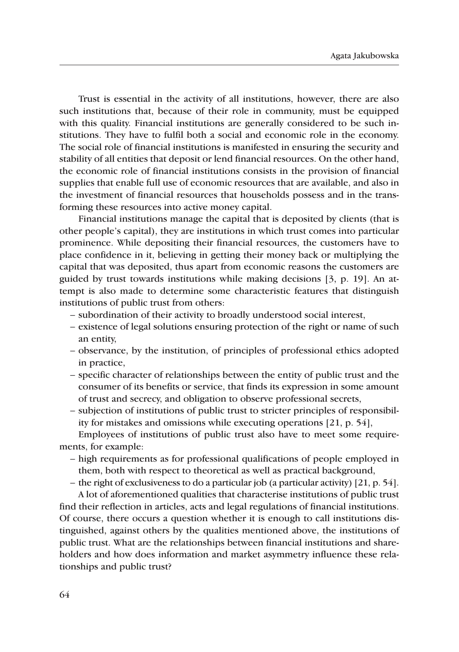Trust is essential in the activity of all institutions, however, there are also such institutions that, because of their role in community, must be equipped with this quality. Financial institutions are generally considered to be such institutions. They have to fulfil both a social and economic role in the economy. The social role of financial institutions is manifested in ensuring the security and stability of all entities that deposit or lend financial resources. On the other hand, the economic role of financial institutions consists in the provision of financial supplies that enable full use of economic resources that are available, and also in the investment of financial resources that households possess and in the transforming these resources into active money capital.

Financial institutions manage the capital that is deposited by clients (that is other people's capital), they are institutions in which trust comes into particular prominence. While depositing their financial resources, the customers have to place confidence in it, believing in getting their money back or multiplying the capital that was deposited, thus apart from economic reasons the customers are guided by trust towards institutions while making decisions [3, p. 19]. An attempt is also made to determine some characteristic features that distinguish institutions of public trust from others:

- ȭ subordination of their activity to broadly understood social interest,
- ȭ existence of legal solutions ensuring protection of the right or name of such an entity,
- ȭ observance, by the institution, of principles of professional ethics adopted in practice,
- specific character of relationships between the entity of public trust and the consumer of its benefits or service, that finds its expression in some amount of trust and secrecy, and obligation to observe professional secrets,
- ȭ subjection of institutions of public trust to stricter principles of responsibility for mistakes and omissions while executing operations [21, p. 54],

Employees of institutions of public trust also have to meet some requirements, for example:

- high requirements as for professional qualifications of people employed in them, both with respect to theoretical as well as practical background,
- $-$  the right of exclusiveness to do a particular job (a particular activity) [21, p. 54].

A lot of aforementioned qualities that characterise institutions of public trust find their reflection in articles, acts and legal regulations of financial institutions. Of course, there occurs a question whether it is enough to call institutions distinguished, against others by the qualities mentioned above, the institutions of public trust. What are the relationships between financial institutions and shareholders and how does information and market asymmetry influence these relationships and public trust?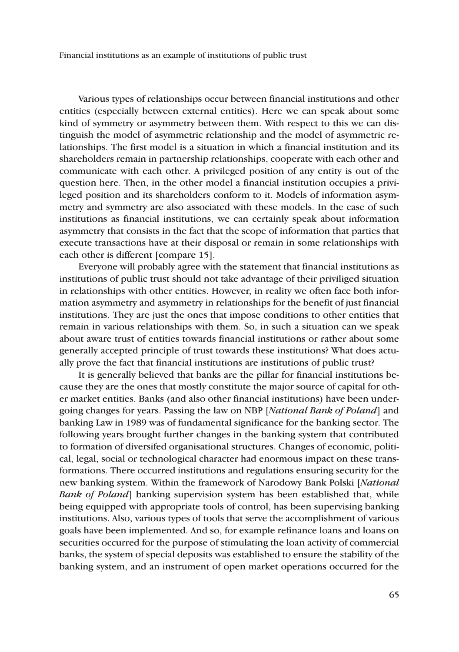Various types of relationships occur between financial institutions and other entities (especially between external entities). Here we can speak about some kind of symmetry or asymmetry between them. With respect to this we can distinguish the model of asymmetric relationship and the model of asymmetric relationships. The first model is a situation in which a financial institution and its shareholders remain in partnership relationships, cooperate with each other and communicate with each other. A privileged position of any entity is out of the question here. Then, in the other model a financial institution occupies a privileged position and its shareholders conform to it. Models of information asymmetry and symmetry are also associated with these models. In the case of such institutions as financial institutions, we can certainly speak about information asymmetry that consists in the fact that the scope of information that parties that execute transactions have at their disposal or remain in some relationships with each other is different [compare 15].

Everyone will probably agree with the statement that financial institutions as institutions of public trust should not take advantage of their priviliged situation in relationships with other entities. However, in reality we often face both information asymmetry and asymmetry in relationships for the benefit of just financial institutions. They are just the ones that impose conditions to other entities that remain in various relationships with them. So, in such a situation can we speak about aware trust of entities towards financial institutions or rather about some generally accepted principle of trust towards these institutions? What does actually prove the fact that financial institutions are institutions of public trust?

It is generally believed that banks are the pillar for financial institutions because they are the ones that mostly constitute the major source of capital for other market entities. Banks (and also other financial institutions) have been undergoing changes for years. Passing the law on NBP [*National Bank of Poland*] and banking Law in 1989 was of fundamental significance for the banking sector. The following years brought further changes in the banking system that contributed to formation of diversifed organisational structures. Changes of economic, political, legal, social or technological character had enormous impact on these transformations. There occurred institutions and regulations ensuring security for the new banking system. Within the framework of Narodowy Bank Polski [*National Bank of Poland*] banking supervision system has been established that, while being equipped with appropriate tools of control, has been supervising banking institutions. Also, various types of tools that serve the accomplishment of various goals have been implemented. And so, for example refinance loans and loans on securities occurred for the purpose of stimulating the loan activity of commercial banks, the system of special deposits was established to ensure the stability of the banking system, and an instrument of open market operations occurred for the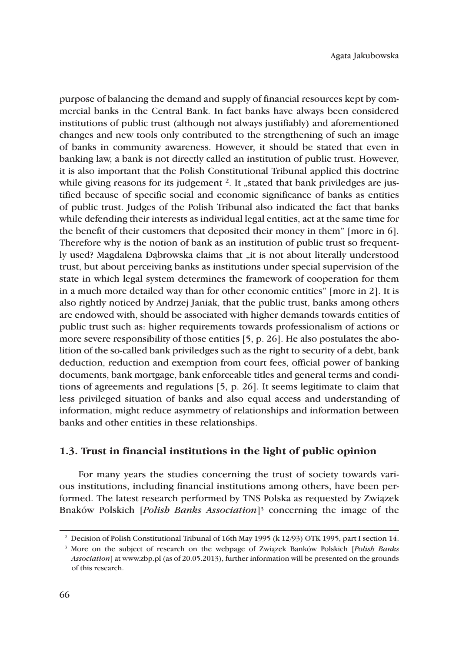purpose of balancing the demand and supply of financial resources kept by commercial banks in the Central Bank. In fact banks have always been considered institutions of public trust (although not always justifiably) and aforementioned changes and new tools only contributed to the strengthening of such an image of banks in community awareness. However, it should be stated that even in banking law, a bank is not directly called an institution of public trust. However, it is also important that the Polish Constitutional Tribunal applied this doctrine while giving reasons for its judgement <sup>2</sup>. It "stated that bank priviledges are justified because of specific social and economic significance of banks as entities of public trust. Judges of the Polish Tribunal also indicated the fact that banks while defending their interests as individual legal entities, act at the same time for the benefit of their customers that deposited their money in them" [more in 6]. Therefore why is the notion of bank as an institution of public trust so frequently used? Magdalena Dabrowska claims that "it is not about literally understood trust, but about perceiving banks as institutions under special supervision of the state in which legal system determines the framework of cooperation for them in a much more detailed way than for other economic entities" [more in 2]. It is also rightly noticed by Andrzej Janiak, that the public trust, banks among others are endowed with, should be associated with higher demands towards entities of public trust such as: higher requirements towards professionalism of actions or more severe responsibility of those entities [5, p. 26]. He also postulates the abolition of the so-called bank priviledges such as the right to security of a debt, bank deduction, reduction and exemption from court fees, official power of banking documents, bank mortgage, bank enforceable titles and general terms and conditions of agreements and regulations [5, p. 26]. It seems legitimate to claim that less privileged situation of banks and also equal access and understanding of information, might reduce asymmetry of relationships and information between banks and other entities in these relationships.

#### **1.3. Trust in financial institutions in the light of public opinion**

For many years the studies concerning the trust of society towards various institutions, including financial institutions among others, have been performed. The latest research performed by TNS Polska as requested by Związek Bnaków Polskich [*Polish Banks Association*] <sup>3</sup> concerning the image of the

<sup>2</sup> Decision of Polish Constitutional Tribunal of 16th May 1995 (k 12/93) OTK 1995, part I section 14.

<sup>&</sup>lt;sup>3</sup> More on the subject of research on the webpage of Związek Banków Polskich [*Polish Banks Association*] at www.zbp.pl (as of 20.05.2013), further information will be presented on the grounds of this research.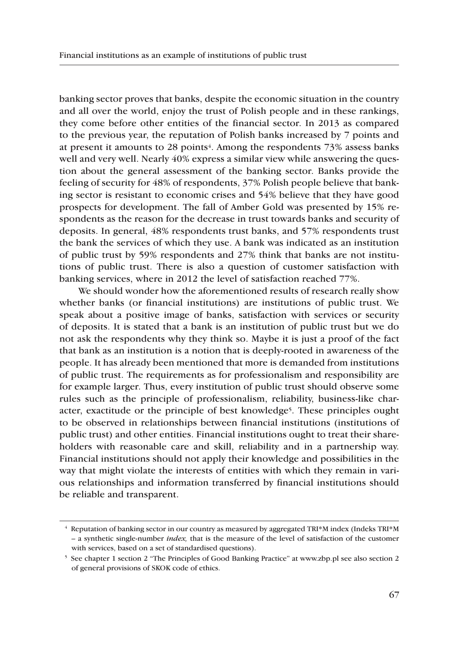banking sector proves that banks, despite the economic situation in the country and all over the world, enjoy the trust of Polish people and in these rankings, they come before other entities of the financial sector. In 2013 as compared to the previous year, the reputation of Polish banks increased by 7 points and at present it amounts to 28 points<sup>4</sup>. Among the respondents 73% assess banks well and very well. Nearly 40% express a similar view while answering the question about the general assessment of the banking sector. Banks provide the feeling of security for 48% of respondents, 37% Polish people believe that banking sector is resistant to economic crises and 54% believe that they have good prospects for development. The fall of Amber Gold was presented by 15% respondents as the reason for the decrease in trust towards banks and security of deposits. In general, 48% respondents trust banks, and 57% respondents trust the bank the services of which they use. A bank was indicated as an institution of public trust by 59% respondents and 27% think that banks are not institutions of public trust. There is also a question of customer satisfaction with banking services, where in 2012 the level of satisfaction reached 77%.

We should wonder how the aforementioned results of research really show whether banks (or financial institutions) are institutions of public trust. We speak about a positive image of banks, satisfaction with services or security of deposits. It is stated that a bank is an institution of public trust but we do not ask the respondents why they think so. Maybe it is just a proof of the fact that bank as an institution is a notion that is deeply-rooted in awareness of the people. It has already been mentioned that more is demanded from institutions of public trust. The requirements as for professionalism and responsibility are for example larger. Thus, every institution of public trust should observe some rules such as the principle of professionalism, reliability, business-like character, exactitude or the principle of best knowledge5. These principles ought to be observed in relationships between financial institutions (institutions of public trust) and other entities. Financial institutions ought to treat their shareholders with reasonable care and skill, reliability and in a partnership way. Financial institutions should not apply their knowledge and possibilities in the way that might violate the interests of entities with which they remain in various relationships and information transferred by financial institutions should be reliable and transparent.

<sup>4</sup> Reputation of banking sector in our country as measured by aggregated TRI\*M index (Indeks TRI\*M – a synthetic single-number *index,* that is the measure of the level of satisfaction of the customer with services, based on a set of standardised questions).

<sup>5</sup> See chapter 1 section 2 "The Principles of Good Banking Practice" at www.zbp.pl see also section 2 of general provisions of SKOK code of ethics.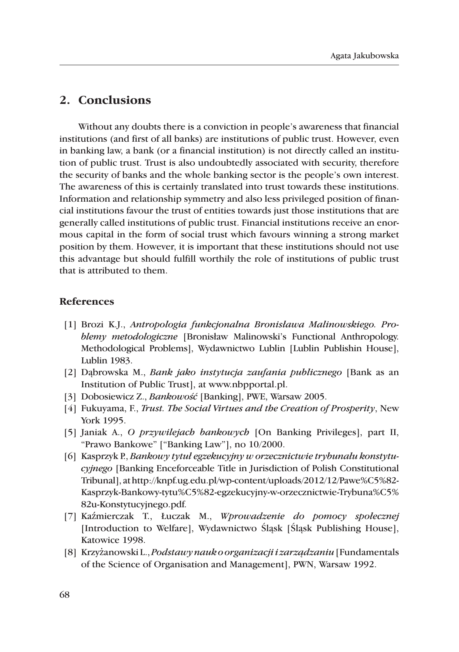## 2. Conclusions

Without any doubts there is a conviction in people's awareness that financial institutions (and first of all banks) are institutions of public trust. However, even in banking law, a bank (or a financial institution) is not directly called an institution of public trust. Trust is also undoubtedly associated with security, therefore the security of banks and the whole banking sector is the people's own interest. The awareness of this is certainly translated into trust towards these institutions. Information and relationship symmetry and also less privileged position of financial institutions favour the trust of entities towards just those institutions that are generally called institutions of public trust. Financial institutions receive an enormous capital in the form of social trust which favours winning a strong market position by them. However, it is important that these institutions should not use this advantage but should fulfill worthily the role of institutions of public trust that is attributed to them.

#### **References**

- [1] Brozi K.J., Antropologia funkcjonalna Bronisława Malinowskiego. Problemy metodologiczne [Bronisław Malinowski's Functional Anthropology. Methodological Problems], Wydawnictwo Lublin [Lublin Publishin House], Lublin 1983.
- [2] Dabrowska M., *Bank jako instytucja zaufania publicznego* [Bank as an Institution of Public Trust, at www.nbpportal.pl.
- [3] Dobosiewicz Z., Bankowość [Banking], PWE, Warsaw 2005.
- [4] Fukuyama, F., Trust. The Social Virtues and the Creation of Prosperity, New York 1995.
- [5] Janiak A., O przywilejach bankowych [On Banking Privileges], part II, "Prawo Bankowe" ["Banking Law"], no 10/2000.
- [6] Kasprzyk P., Bankowy tytuł egzekucyjny w orzecznictwie trybunału konstytucyjnego [Banking Enceforceable Title in Jurisdiction of Polish Constitutional Tribunal], at http://knpf.ug.edu.pl/wp-content/uploads/2012/12/Pawe%C5%82-Kasprzyk-Bankowy-tytu%C5%82-egzekucyjny-w-orzecznictwie-Trybuna%C5% 82u-Konstytucyjnego.pdf.
- [7] Kaźmierczak T., Łuczak M., Wprowadzenie do pomocy społecznej [Introduction to Welfare], Wydawnictwo Śląsk [Śląsk Publishing House], Katowice 1998.
- [8] Krzyżanowski L., Podstawy nauk o organizacji i zarządzaniu [Fundamentals of the Science of Organisation and Management], PWN, Warsaw 1992.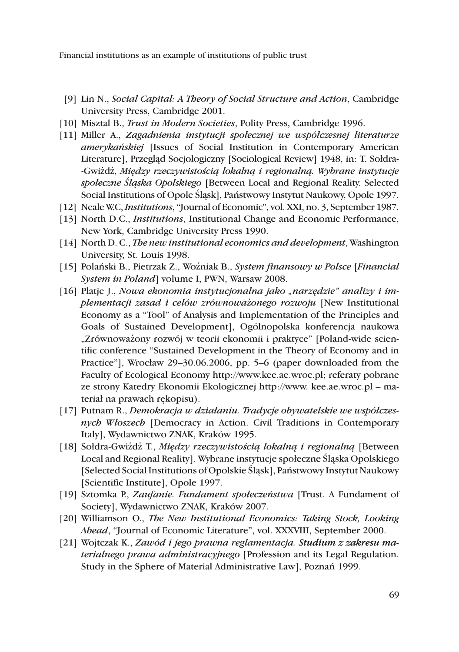- [9] Lin N., Social Capital: A Theory of Social Structure and Action, Cambridge University Press, Cambridge 2001.
- [10] Misztal B., Trust in Modern Societies, Polity Press, Cambridge 1996.
- [11] Miller A., Zagadnienia instytucji społecznej we współczesnej literaturze *amerykańskiej* [Issues of Social Institution in Contemporary American Literature], Przegląd Socjologiczny [Sociological Review] 1948, in: T. Sołdra--Gwiżdż, Między rzeczywistością lokalną i regionalną. Wybrane instytucje społeczne Śląska Opolskiego [Between Local and Regional Reality. Selected Social Institutions of Opole Śląsk], Państwowy Instytut Naukowy, Opole 1997.
- [12] Neale W.C. *Institutions*, "Journal of Economic", vol. XXI, no. 3, September 1987.
- [13] North D.C., *Institutions*, Institutional Change and Economic Performance, New York, Cambridge University Press 1990.
- [14] North D. C., The new institutional economics and development, Washington University, St. Louis 1998.
- [15] Polański B., Pietrzak Z., Woźniak B., System finansowy w Polsce [Financial System in Poland] volume I, PWN, Warsaw 2008.
- [16] Platje J., Nowa ekonomia instytucjonalna jako "narzędzie" analizy i implementacji zasad i celów zrównoważonego rozwoju [New Institutional Economy as a "Tool" of Analysis and Implementation of the Principles and Goals of Sustained Development], Ogólnopolska konferencja naukowa "Zrównoważony rozwój w teorii ekonomii i praktyce" [Poland-wide scientific conference "Sustained Development in the Theory of Economy and in Practice"], Wrocław 29–30.06.2006, pp. 5–6 (paper downloaded from the Faculty of Ecological Economy http://www.kee.ae.wroc.pl; referaty pobrane ze strony Katedry Ekonomii Ekologicznej http://www. kee.ae.wroc.pl – materiał na prawach rekopisu).
- [17] Putnam R., Demokracja w działaniu. Tradycje obywatelskie we współczesnych Włoszech [Democracy in Action. Civil Traditions in Contemporary Italy], Wydawnictwo ZNAK, Kraków 1995.
- [18] Sołdra-Gwiżdż T., Między rzeczywistością lokalną i regionalną [Between Local and Regional Reality]. Wybrane instytucje społeczne Śląska Opolskiego [Selected Social Institutions of Opolskie Śląsk], Państwowy Instytut Naukowy [Scientific Institute], Opole 1997.
- [19] Sztomka P., Zaufanie. Fundament społeczeństwa [Trust. A Fundament of Society], Wydawnictwo ZNAK, Kraków 2007.
- [20] Williamson O., The New Institutional Economics: Taking Stock, Looking Ahead, "Journal of Economic Literature", vol. XXXVIII, September 2000.
- [21] Wojtczak K., Zawód i jego prawna reglamentacja. Studium z zakresu materialnego prawa administracyjnego [Profession and its Legal Regulation. Study in the Sphere of Material Administrative Law], Poznań 1999.